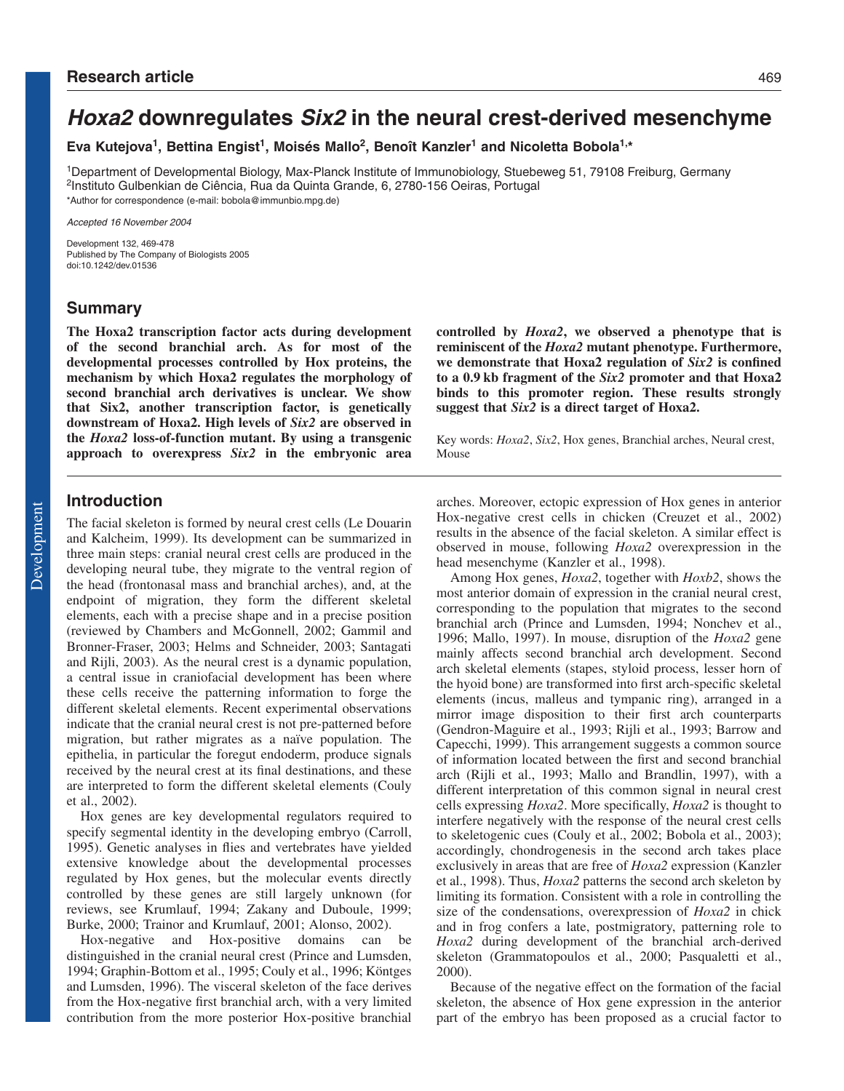# **Hoxa2 downregulates Six2 in the neural crest-derived mesenchyme**

**Eva Kutejova1, Bettina Engist1, Moisés Mallo2, Benoît Kanzler1 and Nicoletta Bobola1,\***

1Department of Developmental Biology, Max-Planck Institute of Immunobiology, Stuebeweg 51, 79108 Freiburg, Germany 2Instituto Gulbenkian de Ciência, Rua da Quinta Grande, 6, 2780-156 Oeiras, Portugal \*Author for correspondence (e-mail: bobola@immunbio.mpg.de)

Accepted 16 November 2004

Development 132, 469-478 Published by The Company of Biologists 2005 doi:10.1242/dev.01536

## **Summary**

**The Hoxa2 transcription factor acts during development of the second branchial arch. As for most of the developmental processes controlled by Hox proteins, the mechanism by which Hoxa2 regulates the morphology of second branchial arch derivatives is unclear. We show that Six2, another transcription factor, is genetically downstream of Hoxa2. High levels of** *Six2* **are observed in the** *Hoxa2* **loss-of-function mutant. By using a transgenic approach to overexpress** *Six2* **in the embryonic area**

# **Introduction**

The facial skeleton is formed by neural crest cells (Le Douarin and Kalcheim, 1999). Its development can be summarized in three main steps: cranial neural crest cells are produced in the developing neural tube, they migrate to the ventral region of the head (frontonasal mass and branchial arches), and, at the endpoint of migration, they form the different skeletal elements, each with a precise shape and in a precise position (reviewed by Chambers and McGonnell, 2002; Gammil and Bronner-Fraser, 2003; Helms and Schneider, 2003; Santagati and Rijli, 2003). As the neural crest is a dynamic population, a central issue in craniofacial development has been where these cells receive the patterning information to forge the different skeletal elements. Recent experimental observations indicate that the cranial neural crest is not pre-patterned before migration, but rather migrates as a naïve population. The epithelia, in particular the foregut endoderm, produce signals received by the neural crest at its final destinations, and these are interpreted to form the different skeletal elements (Couly et al., 2002).

Hox genes are key developmental regulators required to specify segmental identity in the developing embryo (Carroll, 1995). Genetic analyses in flies and vertebrates have yielded extensive knowledge about the developmental processes regulated by Hox genes, but the molecular events directly controlled by these genes are still largely unknown (for reviews, see Krumlauf, 1994; Zakany and Duboule, 1999; Burke, 2000; Trainor and Krumlauf, 2001; Alonso, 2002).

Hox-negative and Hox-positive domains can be distinguished in the cranial neural crest (Prince and Lumsden, 1994; Graphin-Bottom et al., 1995; Couly et al., 1996; Köntges and Lumsden, 1996). The visceral skeleton of the face derives from the Hox-negative first branchial arch, with a very limited contribution from the more posterior Hox-positive branchial **controlled by** *Hoxa2***, we observed a phenotype that is reminiscent of the** *Hoxa2* **mutant phenotype. Furthermore, we demonstrate that Hoxa2 regulation of** *Six2* **is confined to a 0.9 kb fragment of the** *Six2* **promoter and that Hoxa2 binds to this promoter region. These results strongly suggest that** *Six2* **is a direct target of Hoxa2.**

Key words: *Hoxa2*, *Six2*, Hox genes, Branchial arches, Neural crest, Mouse

arches. Moreover, ectopic expression of Hox genes in anterior Hox-negative crest cells in chicken (Creuzet et al., 2002) results in the absence of the facial skeleton. A similar effect is observed in mouse, following *Hoxa2* overexpression in the head mesenchyme (Kanzler et al., 1998).

Among Hox genes, *Hoxa2*, together with *Hoxb2*, shows the most anterior domain of expression in the cranial neural crest, corresponding to the population that migrates to the second branchial arch (Prince and Lumsden, 1994; Nonchev et al., 1996; Mallo, 1997). In mouse, disruption of the *Hoxa2* gene mainly affects second branchial arch development. Second arch skeletal elements (stapes, styloid process, lesser horn of the hyoid bone) are transformed into first arch-specific skeletal elements (incus, malleus and tympanic ring), arranged in a mirror image disposition to their first arch counterparts (Gendron-Maguire et al., 1993; Rijli et al., 1993; Barrow and Capecchi, 1999). This arrangement suggests a common source of information located between the first and second branchial arch (Rijli et al., 1993; Mallo and Brandlin, 1997), with a different interpretation of this common signal in neural crest cells expressing *Hoxa2*. More specifically, *Hoxa2* is thought to interfere negatively with the response of the neural crest cells to skeletogenic cues (Couly et al., 2002; Bobola et al., 2003); accordingly, chondrogenesis in the second arch takes place exclusively in areas that are free of *Hoxa2* expression (Kanzler et al., 1998). Thus, *Hoxa2* patterns the second arch skeleton by limiting its formation. Consistent with a role in controlling the size of the condensations, overexpression of *Hoxa2* in chick and in frog confers a late, postmigratory, patterning role to *Hoxa2* during development of the branchial arch-derived skeleton (Grammatopoulos et al., 2000; Pasqualetti et al., 2000).

Because of the negative effect on the formation of the facial skeleton, the absence of Hox gene expression in the anterior part of the embryo has been proposed as a crucial factor to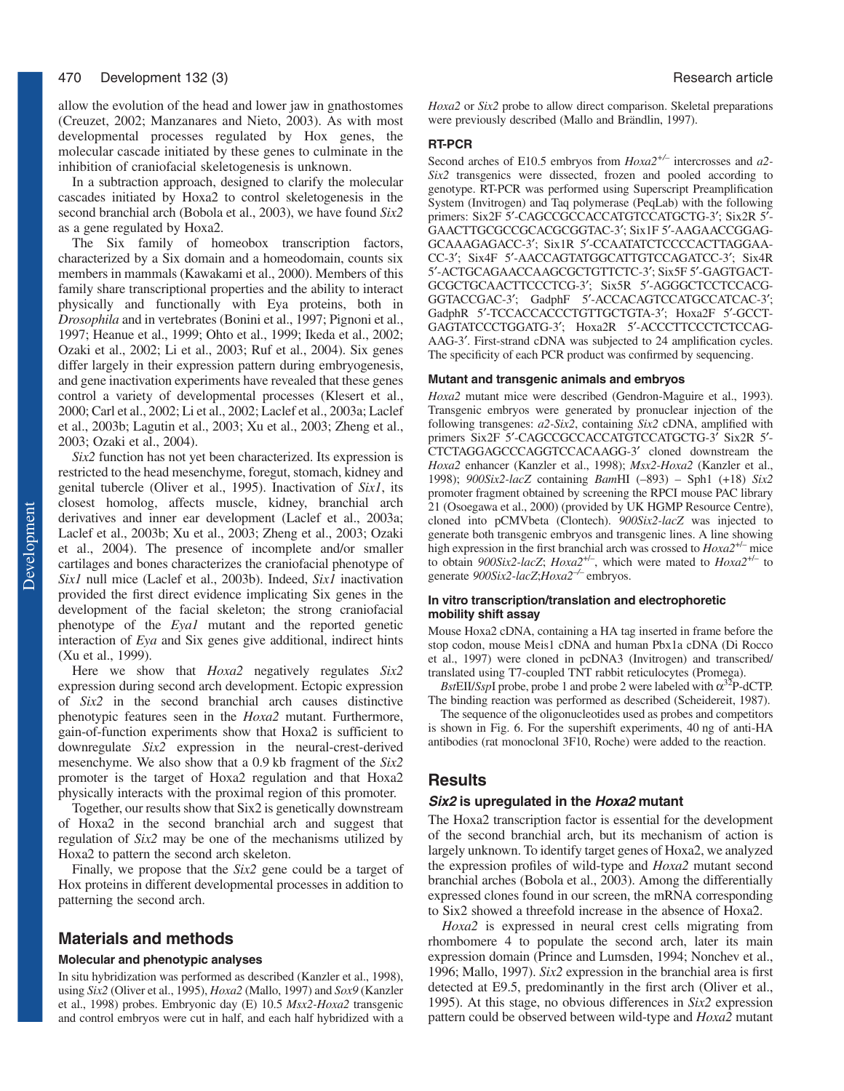allow the evolution of the head and lower jaw in gnathostomes (Creuzet, 2002; Manzanares and Nieto, 2003). As with most developmental processes regulated by Hox genes, the molecular cascade initiated by these genes to culminate in the inhibition of craniofacial skeletogenesis is unknown.

In a subtraction approach, designed to clarify the molecular cascades initiated by Hoxa2 to control skeletogenesis in the second branchial arch (Bobola et al., 2003), we have found *Six2* as a gene regulated by Hoxa2.

The Six family of homeobox transcription factors, characterized by a Six domain and a homeodomain, counts six members in mammals (Kawakami et al., 2000). Members of this family share transcriptional properties and the ability to interact physically and functionally with Eya proteins, both in *Drosophila* and in vertebrates (Bonini et al., 1997; Pignoni et al., 1997; Heanue et al., 1999; Ohto et al., 1999; Ikeda et al., 2002; Ozaki et al., 2002; Li et al., 2003; Ruf et al., 2004). Six genes differ largely in their expression pattern during embryogenesis, and gene inactivation experiments have revealed that these genes control a variety of developmental processes (Klesert et al., 2000; Carl et al., 2002; Li et al., 2002; Laclef et al., 2003a; Laclef et al., 2003b; Lagutin et al., 2003; Xu et al., 2003; Zheng et al., 2003; Ozaki et al., 2004).

*Six2* function has not yet been characterized. Its expression is restricted to the head mesenchyme, foregut, stomach, kidney and genital tubercle (Oliver et al., 1995). Inactivation of *Six1*, its closest homolog, affects muscle, kidney, branchial arch derivatives and inner ear development (Laclef et al., 2003a; Laclef et al., 2003b; Xu et al., 2003; Zheng et al., 2003; Ozaki et al., 2004). The presence of incomplete and/or smaller cartilages and bones characterizes the craniofacial phenotype of *Six1* null mice (Laclef et al., 2003b). Indeed, *Six1* inactivation provided the first direct evidence implicating Six genes in the development of the facial skeleton; the strong craniofacial phenotype of the *Eya1* mutant and the reported genetic interaction of *Eya* and Six genes give additional, indirect hints (Xu et al., 1999).

Here we show that *Hoxa2* negatively regulates *Six2* expression during second arch development. Ectopic expression of *Six2* in the second branchial arch causes distinctive phenotypic features seen in the *Hoxa2* mutant. Furthermore, gain-of-function experiments show that Hoxa2 is sufficient to downregulate *Six2* expression in the neural-crest-derived mesenchyme. We also show that a 0.9 kb fragment of the *Six2* promoter is the target of Hoxa2 regulation and that Hoxa2 physically interacts with the proximal region of this promoter.

Together, our results show that Six2 is genetically downstream of Hoxa2 in the second branchial arch and suggest that regulation of *Six2* may be one of the mechanisms utilized by Hoxa2 to pattern the second arch skeleton.

Finally, we propose that the *Six2* gene could be a target of Hox proteins in different developmental processes in addition to patterning the second arch.

# **Materials and methods**

#### **Molecular and phenotypic analyses**

In situ hybridization was performed as described (Kanzler et al., 1998), using *Six2* (Oliver et al., 1995), *Hoxa2* (Mallo, 1997) and *Sox9* (Kanzler et al., 1998) probes. Embryonic day (E) 10.5 *Msx2-Hoxa2* transgenic and control embryos were cut in half, and each half hybridized with a

*Hoxa2* or *Six2* probe to allow direct comparison. Skeletal preparations were previously described (Mallo and Brändlin, 1997).

#### **RT-PCR**

Second arches of E10.5 embryos from *Hoxa2+/–* intercrosses and *a2- Six2* transgenics were dissected, frozen and pooled according to genotype. RT-PCR was performed using Superscript Preamplification System (Invitrogen) and Taq polymerase (PeqLab) with the following primers: Six2F 5′-CAGCCGCCACCATGTCCATGCTG-3′; Six2R 5′- GAACTTGCGCCGCACGCGGTAC-3′; Six1F 5′-AAGAACCGGAG-GCAAAGAGACC-3′; Six1R 5′-CCAATATCTCCCCACTTAGGAA-CC-3′; Six4F 5′-AACCAGTATGGCATTGTCCAGATCC-3′; Six4R 5′-ACTGCAGAACCAAGCGCTGTTCTC-3′; Six5F 5′-GAGTGACT-GCGCTGCAACTTCCCTCG-3′; Six5R 5′-AGGGCTCCTCCACG-GGTACCGAC-3′; GadphF 5′-ACCACAGTCCATGCCATCAC-3′; GadphR 5′-TCCACCACCCTGTTGCTGTA-3′; Hoxa2F 5′-GCCT-GAGTATCCCTGGATG-3′; Hoxa2R 5′-ACCCTTCCCTCTCCAG-AAG-3′. First-strand cDNA was subjected to 24 amplification cycles. The specificity of each PCR product was confirmed by sequencing.

#### **Mutant and transgenic animals and embryos**

*Hoxa2* mutant mice were described (Gendron-Maguire et al., 1993). Transgenic embryos were generated by pronuclear injection of the following transgenes: *a2-Six2*, containing *Six2* cDNA, amplified with primers Six2F 5′-CAGCCGCCACCATGTCCATGCTG-3′ Six2R 5′- CTCTAGGAGCCCAGGTCCACAAGG-3′ cloned downstream the *Hoxa2* enhancer (Kanzler et al., 1998); *Msx2-Hoxa2* (Kanzler et al., 1998); *900Six2-lacZ* containing *Bam*HI (–893) – Sph1 (+18) *Six2* promoter fragment obtained by screening the RPCI mouse PAC library 21 (Osoegawa et al., 2000) (provided by UK HGMP Resource Centre), cloned into pCMVbeta (Clontech). *900Six2-lacZ* was injected to generate both transgenic embryos and transgenic lines. A line showing high expression in the first branchial arch was crossed to *Hoxa2*+/– mice to obtain *900Six2-lacZ*; *Hoxa2*+/–, which were mated to *Hoxa2*+/– to generate *900Six2-lacZ*;*Hoxa2–/–* embryos.

#### **In vitro transcription/translation and electrophoretic mobility shift assay**

Mouse Hoxa2 cDNA, containing a HA tag inserted in frame before the stop codon, mouse Meis1 cDNA and human Pbx1a cDNA (Di Rocco et al., 1997) were cloned in pcDNA3 (Invitrogen) and transcribed/ translated using T7-coupled TNT rabbit reticulocytes (Promega).

*Bst*EII/*SspI* probe, probe 1 and probe 2 were labeled with  $\alpha^{32}P$ -dCTP. The binding reaction was performed as described (Scheidereit, 1987).

The sequence of the oligonucleotides used as probes and competitors is shown in Fig. 6. For the supershift experiments, 40 ng of anti-HA antibodies (rat monoclonal 3F10, Roche) were added to the reaction.

# **Results**

#### **Six2 is upregulated in the Hoxa2 mutant**

The Hoxa2 transcription factor is essential for the development of the second branchial arch, but its mechanism of action is largely unknown. To identify target genes of Hoxa2, we analyzed the expression profiles of wild-type and *Hoxa2* mutant second branchial arches (Bobola et al., 2003). Among the differentially expressed clones found in our screen, the mRNA corresponding to Six2 showed a threefold increase in the absence of Hoxa2.

*Hoxa2* is expressed in neural crest cells migrating from rhombomere 4 to populate the second arch, later its main expression domain (Prince and Lumsden, 1994; Nonchev et al., 1996; Mallo, 1997). *Six2* expression in the branchial area is first detected at E9.5, predominantly in the first arch (Oliver et al., 1995). At this stage, no obvious differences in *Six2* expression pattern could be observed between wild-type and *Hoxa2* mutant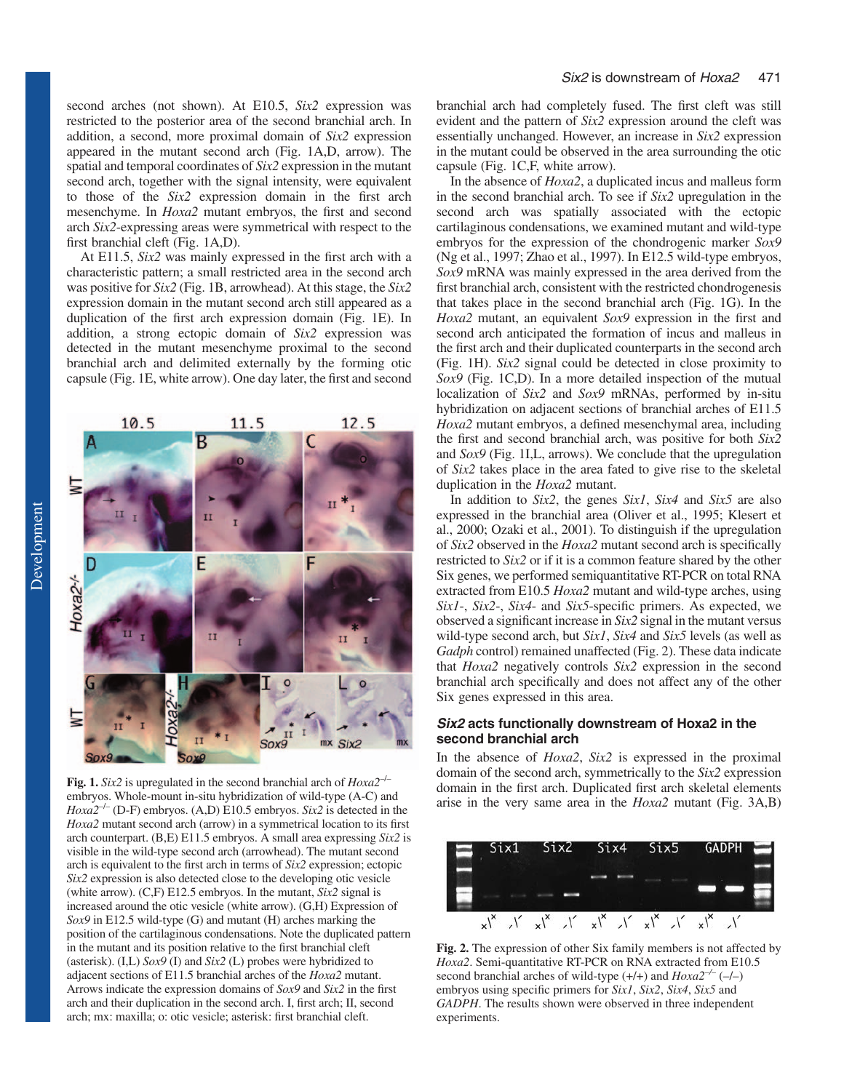second arches (not shown). At E10.5, *Six2* expression was restricted to the posterior area of the second branchial arch. In addition, a second, more proximal domain of *Six2* expression appeared in the mutant second arch (Fig. 1A,D, arrow). The spatial and temporal coordinates of *Six2* expression in the mutant second arch, together with the signal intensity, were equivalent to those of the *Six2* expression domain in the first arch mesenchyme. In *Hoxa2* mutant embryos, the first and second arch *Six2*-expressing areas were symmetrical with respect to the first branchial cleft (Fig. 1A,D).

At E11.5, *Six2* was mainly expressed in the first arch with a characteristic pattern; a small restricted area in the second arch was positive for *Six2* (Fig. 1B, arrowhead). At this stage, the *Six2* expression domain in the mutant second arch still appeared as a duplication of the first arch expression domain (Fig. 1E). In addition, a strong ectopic domain of *Six2* expression was detected in the mutant mesenchyme proximal to the second branchial arch and delimited externally by the forming otic capsule (Fig. 1E, white arrow). One day later, the first and second



**Fig. 1.** *Six2* is upregulated in the second branchial arch of *Hoxa2*–/– embryos. Whole-mount in-situ hybridization of wild-type (A-C) and  $Hoxa2^{-/-}$  (D-F) embryos. (A,D) E10.5 embryos. *Six2* is detected in the *Hoxa2* mutant second arch (arrow) in a symmetrical location to its first arch counterpart. (B,E) E11.5 embryos. A small area expressing *Six2* is visible in the wild-type second arch (arrowhead). The mutant second arch is equivalent to the first arch in terms of *Six2* expression; ectopic *Six2* expression is also detected close to the developing otic vesicle (white arrow). (C,F) E12.5 embryos. In the mutant, *Six2* signal is increased around the otic vesicle (white arrow). (G,H) Expression of *Sox9* in E12.5 wild-type (G) and mutant (H) arches marking the position of the cartilaginous condensations. Note the duplicated pattern in the mutant and its position relative to the first branchial cleft (asterisk). (I,L) *Sox9* (I) and *Six2* (L) probes were hybridized to adjacent sections of E11.5 branchial arches of the *Hoxa2* mutant. Arrows indicate the expression domains of *Sox9* and *Six2* in the first arch and their duplication in the second arch. I, first arch; II, second arch; mx: maxilla; o: otic vesicle; asterisk: first branchial cleft.

branchial arch had completely fused. The first cleft was still evident and the pattern of *Six2* expression around the cleft was essentially unchanged. However, an increase in *Six2* expression in the mutant could be observed in the area surrounding the otic capsule (Fig. 1C,F, white arrow).

In the absence of *Hoxa2*, a duplicated incus and malleus form in the second branchial arch. To see if *Six2* upregulation in the second arch was spatially associated with the ectopic cartilaginous condensations, we examined mutant and wild-type embryos for the expression of the chondrogenic marker *Sox9* (Ng et al., 1997; Zhao et al., 1997). In E12.5 wild-type embryos, *Sox9* mRNA was mainly expressed in the area derived from the first branchial arch, consistent with the restricted chondrogenesis that takes place in the second branchial arch (Fig. 1G). In the *Hoxa2* mutant, an equivalent *Sox9* expression in the first and second arch anticipated the formation of incus and malleus in the first arch and their duplicated counterparts in the second arch (Fig. 1H). *Six2* signal could be detected in close proximity to *Sox9* (Fig. 1C,D). In a more detailed inspection of the mutual localization of *Six2* and *Sox9* mRNAs, performed by in-situ hybridization on adjacent sections of branchial arches of E11.5 *Hoxa2* mutant embryos, a defined mesenchymal area, including the first and second branchial arch, was positive for both *Six2* and *Sox9* (Fig. 1I,L, arrows). We conclude that the upregulation of *Six2* takes place in the area fated to give rise to the skeletal duplication in the *Hoxa2* mutant.

In addition to *Six2*, the genes *Six1*, *Six4* and *Six5* are also expressed in the branchial area (Oliver et al., 1995; Klesert et al., 2000; Ozaki et al., 2001). To distinguish if the upregulation of *Six2* observed in the *Hoxa2* mutant second arch is specifically restricted to *Six2* or if it is a common feature shared by the other Six genes, we performed semiquantitative RT-PCR on total RNA extracted from E10.5 *Hoxa2* mutant and wild-type arches, using *Six1*-, *Six2*-, *Six4*- and *Six5*-specific primers. As expected, we observed a significant increase in *Six2* signal in the mutant versus wild-type second arch, but *Six1*, *Six4* and *Six5* levels (as well as *Gadph* control) remained unaffected (Fig. 2). These data indicate that *Hoxa2* negatively controls *Six2* expression in the second branchial arch specifically and does not affect any of the other Six genes expressed in this area.

#### *Six2 acts functionally downstream of Hoxa2 in the second branchial arch*

In the absence of *Hoxa2*, *Six2* is expressed in the proximal domain of the second arch, symmetrically to the *Six2* expression domain in the first arch. Duplicated first arch skeletal elements arise in the very same area in the *Hoxa2* mutant (Fig. 3A,B)



**Fig. 2.** The expression of other Six family members is not affected by *Hoxa2*. Semi-quantitative RT-PCR on RNA extracted from E10.5 second branchial arches of wild-type (+/+) and *Hoxa2–/–* (–/–) embryos using specific primers for *Six1*, *Six2*, *Six4*, *Six5* and *GADPH*. The results shown were observed in three independent experiments.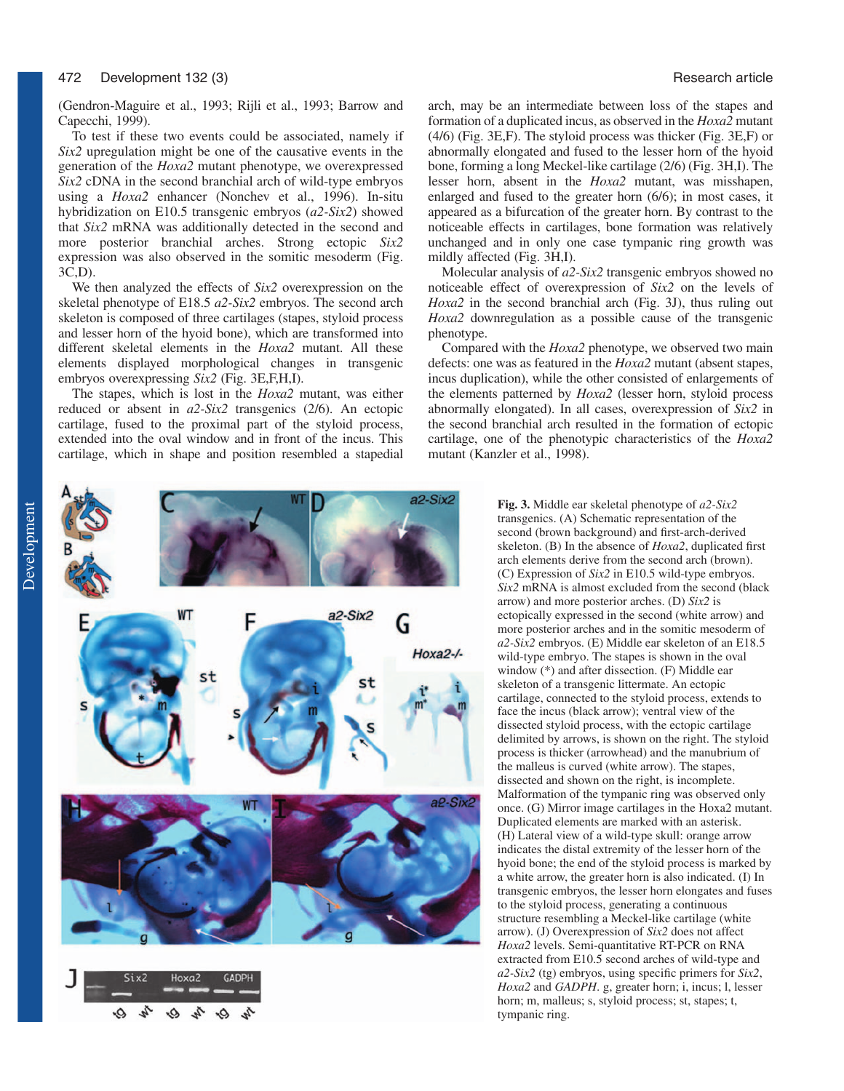#### 472

(Gendron-Maguire et al., 1993; Rijli et al., 1993; Barrow and Capecchi, 1999).

To test if these two events could be associated, namely if *Six2* upregulation might be one of the causative events in the generation of the *Hoxa2* mutant phenotype, we overexpressed *Six2* cDNA in the second branchial arch of wild-type embryos using a *Hoxa2* enhancer (Nonchev et al., 1996). In-situ hybridization on E10.5 transgenic embryos (*a2-Six2*) showed that *Six2* mRNA was additionally detected in the second and more posterior branchial arches. Strong ectopic *Six2* expression was also observed in the somitic mesoderm (Fig. 3C,D).

We then analyzed the effects of *Six2* overexpression on the skeletal phenotype of E18.5 *a2-Six2* embryos. The second arch skeleton is composed of three cartilages (stapes, styloid process and lesser horn of the hyoid bone), which are transformed into different skeletal elements in the *Hoxa2* mutant. All these elements displayed morphological changes in transgenic embryos overexpressing *Six2* (Fig. 3E,F,H,I).

The stapes, which is lost in the *Hoxa2* mutant, was either reduced or absent in *a2-Six2* transgenics (2/6). An ectopic cartilage, fused to the proximal part of the styloid process, extended into the oval window and in front of the incus. This cartilage, which in shape and position resembled a stapedial arch, may be an intermediate between loss of the stapes and formation of a duplicated incus, as observed in the *Hoxa2* mutant (4/6) (Fig. 3E,F). The styloid process was thicker (Fig. 3E,F) or abnormally elongated and fused to the lesser horn of the hyoid bone, forming a long Meckel-like cartilage (2/6) (Fig. 3H,I). The lesser horn, absent in the *Hoxa2* mutant, was misshapen, enlarged and fused to the greater horn (6/6); in most cases, it appeared as a bifurcation of the greater horn. By contrast to the noticeable effects in cartilages, bone formation was relatively unchanged and in only one case tympanic ring growth was mildly affected (Fig. 3H,I).

Molecular analysis of *a2-Six2* transgenic embryos showed no noticeable effect of overexpression of *Six2* on the levels of *Hoxa2* in the second branchial arch (Fig. 3J), thus ruling out *Hoxa2* downregulation as a possible cause of the transgenic phenotype.

Compared with the *Hoxa2* phenotype, we observed two main defects: one was as featured in the *Hoxa2* mutant (absent stapes, incus duplication), while the other consisted of enlargements of the elements patterned by *Hoxa2* (lesser horn, styloid process abnormally elongated). In all cases, overexpression of *Six2* in the second branchial arch resulted in the formation of ectopic cartilage, one of the phenotypic characteristics of the *Hoxa2* mutant (Kanzler et al., 1998).



۰Ó he ۰Ó

**Fig. 3.** Middle ear skeletal phenotype of *a2-Six2* transgenics. (A) Schematic representation of the second (brown background) and first-arch-derived skeleton. (B) In the absence of *Hoxa2*, duplicated first arch elements derive from the second arch (brown). (C) Expression of *Six2* in E10.5 wild-type embryos. *Six2* mRNA is almost excluded from the second (black arrow) and more posterior arches. (D) *Six2* is ectopically expressed in the second (white arrow) and more posterior arches and in the somitic mesoderm of *a2-Six2* embryos. (E) Middle ear skeleton of an E18.5 wild-type embryo. The stapes is shown in the oval window (\*) and after dissection. (F) Middle ear skeleton of a transgenic littermate. An ectopic cartilage, connected to the styloid process, extends to face the incus (black arrow); ventral view of the dissected styloid process, with the ectopic cartilage delimited by arrows, is shown on the right. The styloid process is thicker (arrowhead) and the manubrium of the malleus is curved (white arrow). The stapes, dissected and shown on the right, is incomplete. Malformation of the tympanic ring was observed only once. (G) Mirror image cartilages in the Hoxa2 mutant. Duplicated elements are marked with an asterisk. (H) Lateral view of a wild-type skull: orange arrow indicates the distal extremity of the lesser horn of the hyoid bone; the end of the styloid process is marked by a white arrow, the greater horn is also indicated. (I) In transgenic embryos, the lesser horn elongates and fuses to the styloid process, generating a continuous structure resembling a Meckel-like cartilage (white arrow). (J) Overexpression of *Six2* does not affect *Hoxa2* levels. Semi-quantitative RT-PCR on RNA extracted from E10.5 second arches of wild-type and *a2-Six2* (tg) embryos, using specific primers for *Six2*, *Hoxa2* and *GADPH*. g, greater horn; i, incus; l, lesser horn; m, malleus; s, styloid process; st, stapes; t, tympanic ring.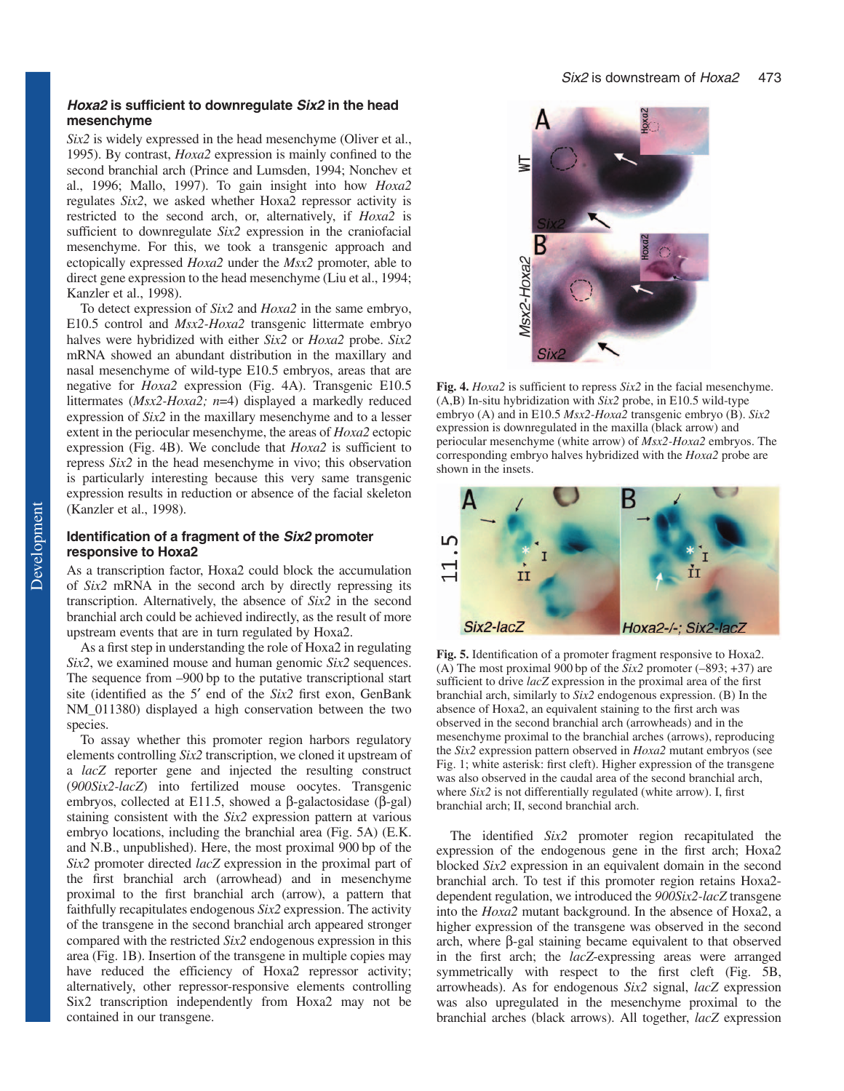#### *Hoxa2 is sufficient to downregulate Six2 in the head mesenchyme*

*Six2* is widely expressed in the head mesenchyme (Oliver et al., 1995). By contrast, *Hoxa2* expression is mainly confined to the second branchial arch (Prince and Lumsden, 1994; Nonchev et al., 1996; Mallo, 1997). To gain insight into how *Hoxa2* regulates *Six2*, we asked whether Hoxa2 repressor activity is restricted to the second arch, or, alternatively, if *Hoxa2* is sufficient to downregulate *Six2* expression in the craniofacial mesenchyme. For this, we took a transgenic approach and ectopically expressed *Hoxa2* under the *Msx2* promoter, able to direct gene expression to the head mesenchyme (Liu et al., 1994; Kanzler et al., 1998).

To detect expression of *Six2* and *Hoxa2* in the same embryo, E10.5 control and *Msx2-Hoxa2* transgenic littermate embryo halves were hybridized with either *Six2* or *Hoxa2* probe. *Six2* mRNA showed an abundant distribution in the maxillary and nasal mesenchyme of wild-type E10.5 embryos, areas that are negative for *Hoxa2* expression (Fig. 4A). Transgenic E10.5 littermates (*Msx2-Hoxa2; n*=4) displayed a markedly reduced expression of *Six2* in the maxillary mesenchyme and to a lesser extent in the periocular mesenchyme, the areas of *Hoxa2* ectopic expression (Fig. 4B). We conclude that *Hoxa2* is sufficient to repress *Six2* in the head mesenchyme in vivo; this observation is particularly interesting because this very same transgenic expression results in reduction or absence of the facial skeleton (Kanzler et al., 1998).

## *Identification of a fragment of the Six2 promoter responsive to Hoxa2*

As a transcription factor, Hoxa2 could block the accumulation of *Six2* mRNA in the second arch by directly repressing its transcription. Alternatively, the absence of *Six2* in the second branchial arch could be achieved indirectly, as the result of more upstream events that are in turn regulated by Hoxa2.

As a first step in understanding the role of Hoxa2 in regulating *Six2*, we examined mouse and human genomic *Six2* sequences. The sequence from –900 bp to the putative transcriptional start site (identified as the 5′ end of the *Six2* first exon, GenBank NM 011380) displayed a high conservation between the two species.

To assay whether this promoter region harbors regulatory elements controlling *Six2* transcription, we cloned it upstream of a *lacZ* reporter gene and injected the resulting construct (*900Six2-lacZ*) into fertilized mouse oocytes. Transgenic embryos, collected at E11.5, showed a β-galactosidase (β-gal) staining consistent with the *Six2* expression pattern at various embryo locations, including the branchial area (Fig. 5A) (E.K. and N.B., unpublished). Here, the most proximal 900 bp of the *Six2* promoter directed *lacZ* expression in the proximal part of the first branchial arch (arrowhead) and in mesenchyme proximal to the first branchial arch (arrow), a pattern that faithfully recapitulates endogenous *Six2* expression. The activity of the transgene in the second branchial arch appeared stronger compared with the restricted *Six2* endogenous expression in this area (Fig. 1B). Insertion of the transgene in multiple copies may have reduced the efficiency of Hoxa2 repressor activity; alternatively, other repressor-responsive elements controlling Six2 transcription independently from Hoxa2 may not be contained in our transgene.



**Fig. 4.** *Hoxa2* is sufficient to repress *Six2* in the facial mesenchyme. (A,B) In-situ hybridization with *Six2* probe, in E10.5 wild-type embryo (A) and in E10.5 *Msx2-Hoxa2* transgenic embryo (B). *Six2* expression is downregulated in the maxilla (black arrow) and periocular mesenchyme (white arrow) of *Msx2-Hoxa2* embryos. The corresponding embryo halves hybridized with the *Hoxa2* probe are shown in the insets.



**Fig. 5.** Identification of a promoter fragment responsive to Hoxa2. (A) The most proximal 900 bp of the *Six2* promoter (–893; +37) are sufficient to drive *lacZ* expression in the proximal area of the first branchial arch, similarly to *Six2* endogenous expression. (B) In the absence of Hoxa2, an equivalent staining to the first arch was observed in the second branchial arch (arrowheads) and in the mesenchyme proximal to the branchial arches (arrows), reproducing the *Six2* expression pattern observed in *Hoxa2* mutant embryos (see Fig. 1; white asterisk: first cleft). Higher expression of the transgene was also observed in the caudal area of the second branchial arch, where *Six2* is not differentially regulated (white arrow). I, first branchial arch; II, second branchial arch.

The identified *Six2* promoter region recapitulated the expression of the endogenous gene in the first arch; Hoxa2 blocked *Six2* expression in an equivalent domain in the second branchial arch. To test if this promoter region retains Hoxa2 dependent regulation, we introduced the *900Six2-lacZ* transgene into the *Hoxa2* mutant background. In the absence of Hoxa2, a higher expression of the transgene was observed in the second arch, where β-gal staining became equivalent to that observed in the first arch; the *lacZ*-expressing areas were arranged symmetrically with respect to the first cleft (Fig. 5B, arrowheads). As for endogenous *Six2* signal, *lacZ* expression was also upregulated in the mesenchyme proximal to the branchial arches (black arrows). All together, *lacZ* expression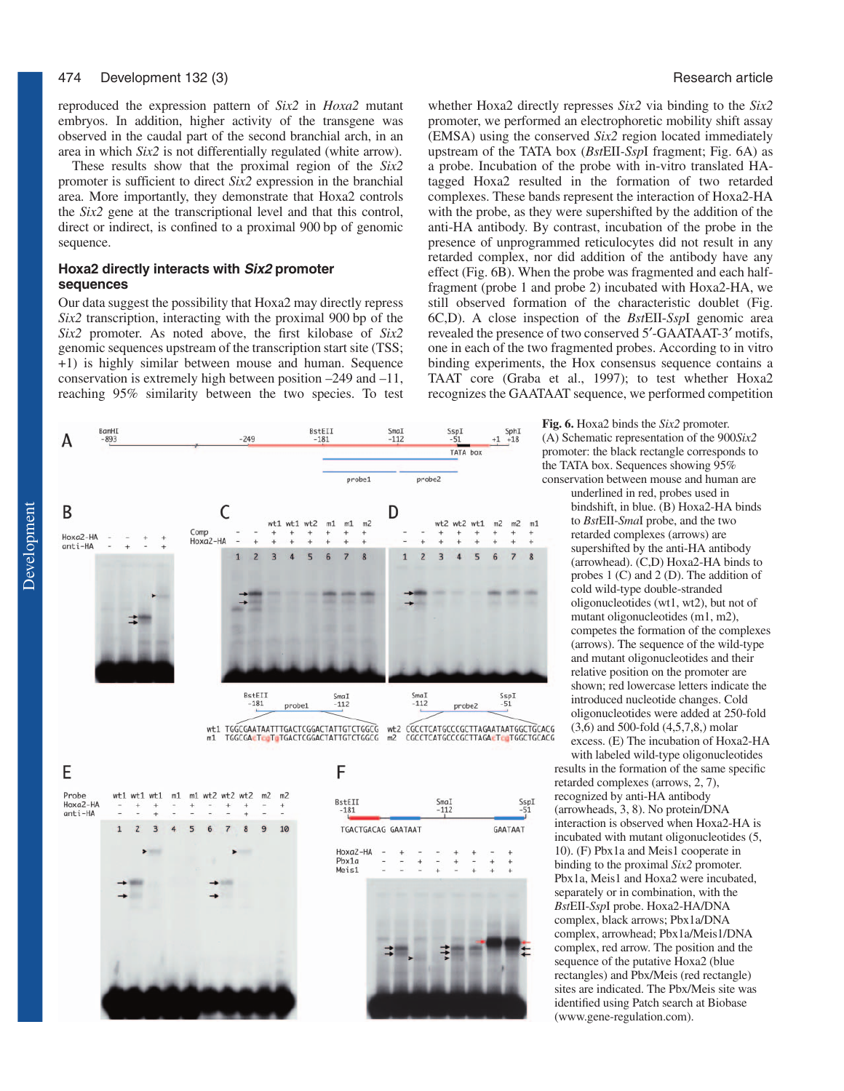reproduced the expression pattern of *Six2* in *Hoxa2* mutant embryos. In addition, higher activity of the transgene was observed in the caudal part of the second branchial arch, in an area in which *Six2* is not differentially regulated (white arrow).

These results show that the proximal region of the *Six2* promoter is sufficient to direct *Six2* expression in the branchial area. More importantly, they demonstrate that Hoxa2 controls the *Six2* gene at the transcriptional level and that this control, direct or indirect, is confined to a proximal 900 bp of genomic sequence.

## **Hoxa2 directly interacts with Six2 promoter sequences**

Our data suggest the possibility that Hoxa2 may directly repress *Six2* transcription, interacting with the proximal 900 bp of the *Six2* promoter. As noted above, the first kilobase of *Six2* genomic sequences upstream of the transcription start site (TSS; +1) is highly similar between mouse and human. Sequence conservation is extremely high between position –249 and –11, reaching 95% similarity between the two species. To test



whether Hoxa2 directly represses *Six2* via binding to the *Six2* promoter, we performed an electrophoretic mobility shift assay (EMSA) using the conserved *Six2* region located immediately upstream of the TATA box (*Bst*EII*-Ssp*I fragment; Fig. 6A) as a probe. Incubation of the probe with in-vitro translated HAtagged Hoxa2 resulted in the formation of two retarded complexes. These bands represent the interaction of Hoxa2-HA with the probe, as they were supershifted by the addition of the anti-HA antibody. By contrast, incubation of the probe in the presence of unprogrammed reticulocytes did not result in any retarded complex, nor did addition of the antibody have any effect (Fig. 6B). When the probe was fragmented and each halffragment (probe 1 and probe 2) incubated with Hoxa2-HA, we still observed formation of the characteristic doublet (Fig. 6C,D). A close inspection of the *Bst*EII-*Ssp*I genomic area revealed the presence of two conserved 5′-GAATAAT-3′ motifs, one in each of the two fragmented probes. According to in vitro binding experiments, the Hox consensus sequence contains a TAAT core (Graba et al., 1997); to test whether Hoxa2 recognizes the GAATAAT sequence, we performed competition



**Fig. 6.** Hoxa2 binds the *Six2* promoter. (A) Schematic representation of the 900*Six2* promoter: the black rectangle corresponds to the TATA box. Sequences showing 95% conservation between mouse and human are

> underlined in red, probes used in bindshift, in blue. (B) Hoxa2-HA binds to *Bst*EII-*Sma*I probe, and the two retarded complexes (arrows) are supershifted by the anti-HA antibody (arrowhead). (C,D) Hoxa2-HA binds to probes 1 (C) and 2 (D). The addition of cold wild-type double-stranded oligonucleotides (wt1, wt2), but not of mutant oligonucleotides (m1, m2), competes the formation of the complexes (arrows). The sequence of the wild-type and mutant oligonucleotides and their relative position on the promoter are shown; red lowercase letters indicate the introduced nucleotide changes. Cold oligonucleotides were added at 250-fold (3,6) and 500-fold (4,5,7,8,) molar excess. (E) The incubation of Hoxa2-HA

with labeled wild-type oligonucleotides results in the formation of the same specific retarded complexes (arrows, 2, 7), recognized by anti-HA antibody (arrowheads, 3, 8). No protein/DNA interaction is observed when Hoxa2-HA is incubated with mutant oligonucleotides (5, 10). (F) Pbx1a and Meis1 cooperate in binding to the proximal *Six2* promoter. Pbx1a, Meis1 and Hoxa2 were incubated, separately or in combination, with the *Bst*EII-*Ssp*I probe. Hoxa2-HA/DNA complex, black arrows; Pbx1a/DNA complex, arrowhead; Pbx1a/Meis1/DNA complex, red arrow. The position and the sequence of the putative Hoxa2 (blue rectangles) and Pbx/Meis (red rectangle) sites are indicated. The Pbx/Meis site was identified using Patch search at Biobase (www.gene-regulation.com).

Development

Development



F

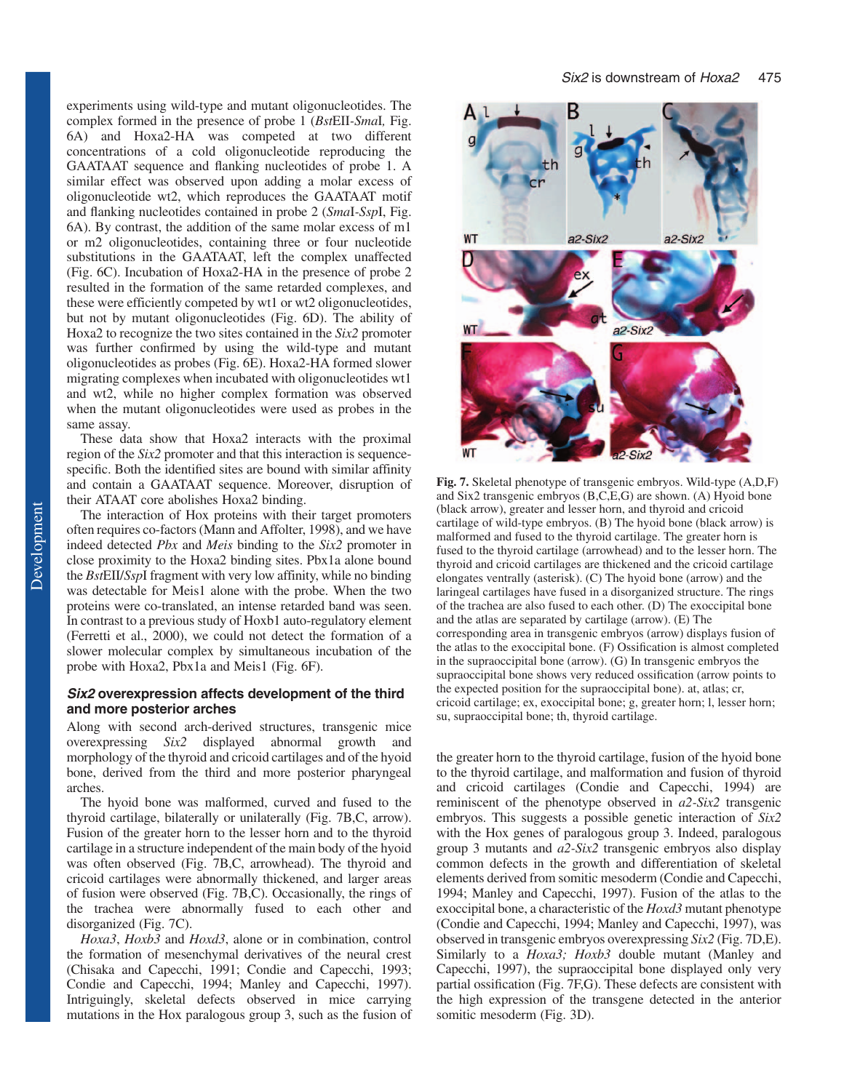experiments using wild-type and mutant oligonucleotides. The complex formed in the presence of probe 1 (*Bst*EII*-Sma*I*,* Fig. 6A) and Hoxa2-HA was competed at two different concentrations of a cold oligonucleotide reproducing the GAATAAT sequence and flanking nucleotides of probe 1. A similar effect was observed upon adding a molar excess of oligonucleotide wt2, which reproduces the GAATAAT motif and flanking nucleotides contained in probe 2 (*Sma*I*-Ssp*I, Fig. 6A). By contrast, the addition of the same molar excess of m1 or m2 oligonucleotides, containing three or four nucleotide substitutions in the GAATAAT, left the complex unaffected (Fig. 6C). Incubation of Hoxa2-HA in the presence of probe 2 resulted in the formation of the same retarded complexes, and these were efficiently competed by wt1 or wt2 oligonucleotides, but not by mutant oligonucleotides (Fig. 6D). The ability of Hoxa2 to recognize the two sites contained in the *Six2* promoter was further confirmed by using the wild-type and mutant oligonucleotides as probes (Fig. 6E). Hoxa2-HA formed slower migrating complexes when incubated with oligonucleotides wt1 and wt2, while no higher complex formation was observed when the mutant oligonucleotides were used as probes in the same assay.

These data show that Hoxa2 interacts with the proximal region of the *Six2* promoter and that this interaction is sequencespecific. Both the identified sites are bound with similar affinity and contain a GAATAAT sequence. Moreover, disruption of their ATAAT core abolishes Hoxa2 binding.

The interaction of Hox proteins with their target promoters often requires co-factors (Mann and Affolter, 1998), and we have indeed detected *Pbx* and *Meis* binding to the *Six2* promoter in close proximity to the Hoxa2 binding sites. Pbx1a alone bound the *Bst*EII/*Ssp*I fragment with very low affinity, while no binding was detectable for Meis1 alone with the probe. When the two proteins were co-translated, an intense retarded band was seen. In contrast to a previous study of Hoxb1 auto-regulatory element (Ferretti et al., 2000), we could not detect the formation of a slower molecular complex by simultaneous incubation of the probe with Hoxa2, Pbx1a and Meis1 (Fig. 6F).

#### *Six2 overexpression affects development of the third and more posterior arches*

Along with second arch-derived structures, transgenic mice overexpressing *Six2* displayed abnormal growth and morphology of the thyroid and cricoid cartilages and of the hyoid bone, derived from the third and more posterior pharyngeal arches.

The hyoid bone was malformed, curved and fused to the thyroid cartilage, bilaterally or unilaterally (Fig. 7B,C, arrow). Fusion of the greater horn to the lesser horn and to the thyroid cartilage in a structure independent of the main body of the hyoid was often observed (Fig. 7B,C, arrowhead). The thyroid and cricoid cartilages were abnormally thickened, and larger areas of fusion were observed (Fig. 7B,C). Occasionally, the rings of the trachea were abnormally fused to each other and disorganized (Fig. 7C).

*Hoxa3*, *Hoxb3* and *Hoxd3*, alone or in combination, control the formation of mesenchymal derivatives of the neural crest (Chisaka and Capecchi, 1991; Condie and Capecchi, 1993; Condie and Capecchi, 1994; Manley and Capecchi, 1997). Intriguingly, skeletal defects observed in mice carrying mutations in the Hox paralogous group 3, such as the fusion of



**Fig. 7.** Skeletal phenotype of transgenic embryos. Wild-type (A,D,F) and Six2 transgenic embryos (B,C,E,G) are shown. (A) Hyoid bone (black arrow), greater and lesser horn, and thyroid and cricoid cartilage of wild-type embryos. (B) The hyoid bone (black arrow) is malformed and fused to the thyroid cartilage. The greater horn is fused to the thyroid cartilage (arrowhead) and to the lesser horn. The thyroid and cricoid cartilages are thickened and the cricoid cartilage elongates ventrally (asterisk). (C) The hyoid bone (arrow) and the laringeal cartilages have fused in a disorganized structure. The rings of the trachea are also fused to each other. (D) The exoccipital bone and the atlas are separated by cartilage (arrow). (E) The corresponding area in transgenic embryos (arrow) displays fusion of the atlas to the exoccipital bone. (F) Ossification is almost completed in the supraoccipital bone (arrow). (G) In transgenic embryos the supraoccipital bone shows very reduced ossification (arrow points to the expected position for the supraoccipital bone). at, atlas; cr, cricoid cartilage; ex, exoccipital bone; g, greater horn; l, lesser horn; su, supraoccipital bone; th, thyroid cartilage.

the greater horn to the thyroid cartilage, fusion of the hyoid bone to the thyroid cartilage, and malformation and fusion of thyroid and cricoid cartilages (Condie and Capecchi, 1994) are reminiscent of the phenotype observed in *a2-Six2* transgenic embryos. This suggests a possible genetic interaction of *Six2* with the Hox genes of paralogous group 3. Indeed, paralogous group 3 mutants and *a2-Six2* transgenic embryos also display common defects in the growth and differentiation of skeletal elements derived from somitic mesoderm (Condie and Capecchi, 1994; Manley and Capecchi, 1997). Fusion of the atlas to the exoccipital bone, a characteristic of the *Hoxd3* mutant phenotype (Condie and Capecchi, 1994; Manley and Capecchi, 1997), was observed in transgenic embryos overexpressing *Six2* (Fig. 7D,E). Similarly to a *Hoxa3; Hoxb3* double mutant (Manley and Capecchi, 1997), the supraoccipital bone displayed only very partial ossification (Fig. 7F,G). These defects are consistent with the high expression of the transgene detected in the anterior somitic mesoderm (Fig. 3D).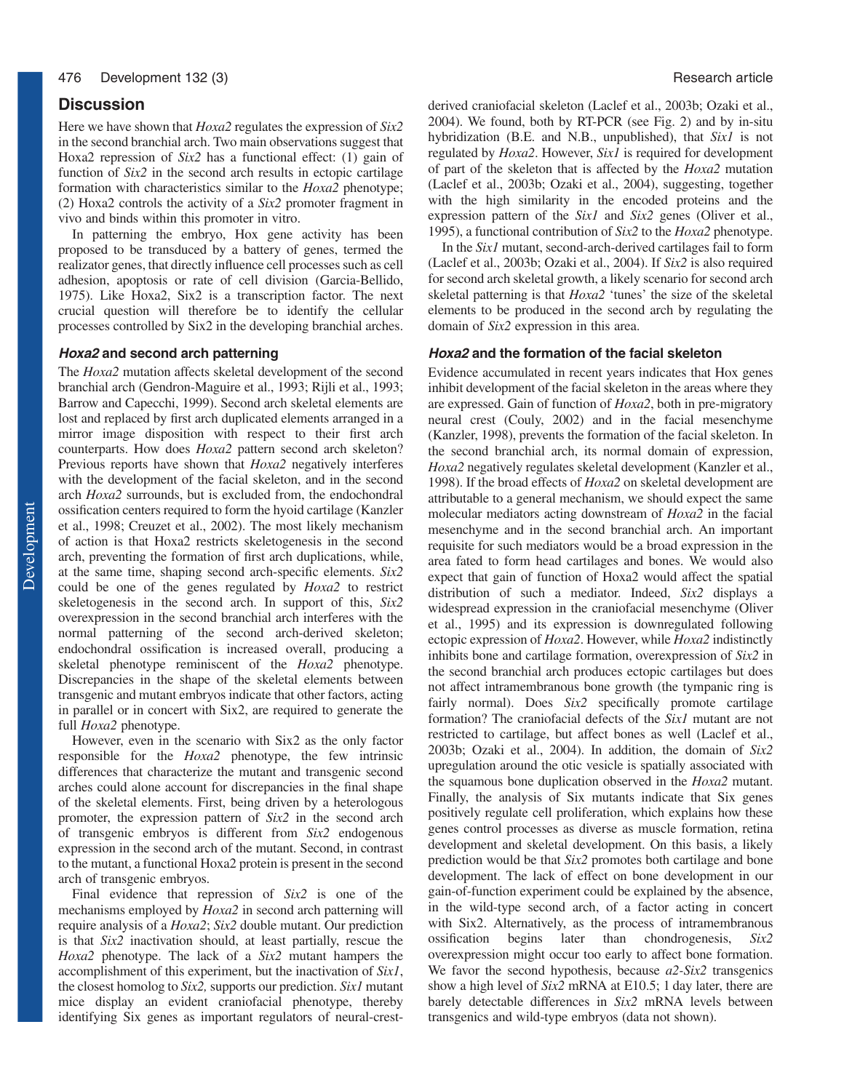# **Discussion**

Here we have shown that *Hoxa2* regulates the expression of *Six2* in the second branchial arch. Two main observations suggest that Hoxa2 repression of *Six2* has a functional effect: (1) gain of function of *Six2* in the second arch results in ectopic cartilage formation with characteristics similar to the *Hoxa2* phenotype; (2) Hoxa2 controls the activity of a *Six2* promoter fragment in vivo and binds within this promoter in vitro.

In patterning the embryo, Hox gene activity has been proposed to be transduced by a battery of genes, termed the realizator genes, that directly influence cell processes such as cell adhesion, apoptosis or rate of cell division (Garcia-Bellido, 1975). Like Hoxa2, Six2 is a transcription factor. The next crucial question will therefore be to identify the cellular processes controlled by Six2 in the developing branchial arches.

#### **Hoxa2 and second arch patterning**

The *Hoxa2* mutation affects skeletal development of the second branchial arch (Gendron-Maguire et al., 1993; Rijli et al., 1993; Barrow and Capecchi, 1999). Second arch skeletal elements are lost and replaced by first arch duplicated elements arranged in a mirror image disposition with respect to their first arch counterparts. How does *Hoxa2* pattern second arch skeleton? Previous reports have shown that *Hoxa2* negatively interferes with the development of the facial skeleton, and in the second arch *Hoxa2* surrounds, but is excluded from, the endochondral ossification centers required to form the hyoid cartilage (Kanzler et al., 1998; Creuzet et al., 2002). The most likely mechanism of action is that Hoxa2 restricts skeletogenesis in the second arch, preventing the formation of first arch duplications, while, at the same time, shaping second arch-specific elements. *Six2* could be one of the genes regulated by *Hoxa2* to restrict skeletogenesis in the second arch. In support of this, *Six2* overexpression in the second branchial arch interferes with the normal patterning of the second arch-derived skeleton; endochondral ossification is increased overall, producing a skeletal phenotype reminiscent of the *Hoxa2* phenotype. Discrepancies in the shape of the skeletal elements between transgenic and mutant embryos indicate that other factors, acting in parallel or in concert with Six2, are required to generate the full *Hoxa2* phenotype.

However, even in the scenario with Six2 as the only factor responsible for the *Hoxa2* phenotype, the few intrinsic differences that characterize the mutant and transgenic second arches could alone account for discrepancies in the final shape of the skeletal elements. First, being driven by a heterologous promoter, the expression pattern of *Six2* in the second arch of transgenic embryos is different from *Six2* endogenous expression in the second arch of the mutant. Second, in contrast to the mutant, a functional Hoxa2 protein is present in the second arch of transgenic embryos.

Final evidence that repression of *Six2* is one of the mechanisms employed by *Hoxa2* in second arch patterning will require analysis of a *Hoxa2*; *Six2* double mutant. Our prediction is that *Six2* inactivation should, at least partially, rescue the *Hoxa2* phenotype. The lack of a *Six2* mutant hampers the accomplishment of this experiment, but the inactivation of *Six1*, the closest homolog to *Six2,* supports our prediction. *Six1* mutant mice display an evident craniofacial phenotype, thereby identifying Six genes as important regulators of neural-crestderived craniofacial skeleton (Laclef et al., 2003b; Ozaki et al., 2004). We found, both by RT-PCR (see Fig. 2) and by in-situ hybridization (B.E. and N.B., unpublished), that *Six1* is not regulated by *Hoxa2*. However, *Six1* is required for development of part of the skeleton that is affected by the *Hoxa2* mutation (Laclef et al., 2003b; Ozaki et al., 2004), suggesting, together with the high similarity in the encoded proteins and the expression pattern of the *Six1* and *Six2* genes (Oliver et al., 1995), a functional contribution of *Six2* to the *Hoxa2* phenotype.

In the *Six1* mutant, second-arch-derived cartilages fail to form (Laclef et al., 2003b; Ozaki et al., 2004). If *Six2* is also required for second arch skeletal growth, a likely scenario for second arch skeletal patterning is that *Hoxa2* 'tunes' the size of the skeletal elements to be produced in the second arch by regulating the domain of *Six2* expression in this area.

#### **Hoxa2 and the formation of the facial skeleton**

Evidence accumulated in recent years indicates that Hox genes inhibit development of the facial skeleton in the areas where they are expressed. Gain of function of *Hoxa2*, both in pre-migratory neural crest (Couly, 2002) and in the facial mesenchyme (Kanzler, 1998), prevents the formation of the facial skeleton. In the second branchial arch, its normal domain of expression, *Hoxa2* negatively regulates skeletal development (Kanzler et al., 1998). If the broad effects of *Hoxa2* on skeletal development are attributable to a general mechanism, we should expect the same molecular mediators acting downstream of *Hoxa2* in the facial mesenchyme and in the second branchial arch. An important requisite for such mediators would be a broad expression in the area fated to form head cartilages and bones. We would also expect that gain of function of Hoxa2 would affect the spatial distribution of such a mediator. Indeed, *Six2* displays a widespread expression in the craniofacial mesenchyme (Oliver et al., 1995) and its expression is downregulated following ectopic expression of *Hoxa2*. However, while *Hoxa2* indistinctly inhibits bone and cartilage formation, overexpression of *Six2* in the second branchial arch produces ectopic cartilages but does not affect intramembranous bone growth (the tympanic ring is fairly normal). Does *Six2* specifically promote cartilage formation? The craniofacial defects of the *Six1* mutant are not restricted to cartilage, but affect bones as well (Laclef et al., 2003b; Ozaki et al., 2004). In addition, the domain of *Six2* upregulation around the otic vesicle is spatially associated with the squamous bone duplication observed in the *Hoxa2* mutant. Finally, the analysis of Six mutants indicate that Six genes positively regulate cell proliferation, which explains how these genes control processes as diverse as muscle formation, retina development and skeletal development. On this basis, a likely prediction would be that *Six2* promotes both cartilage and bone development. The lack of effect on bone development in our gain-of-function experiment could be explained by the absence, in the wild-type second arch, of a factor acting in concert with Six2. Alternatively, as the process of intramembranous ossification begins later than chondrogenesis, *Six2* overexpression might occur too early to affect bone formation. We favor the second hypothesis, because *a2-Six2* transgenics show a high level of *Six2* mRNA at E10.5; 1 day later, there are barely detectable differences in *Six2* mRNA levels between transgenics and wild-type embryos (data not shown).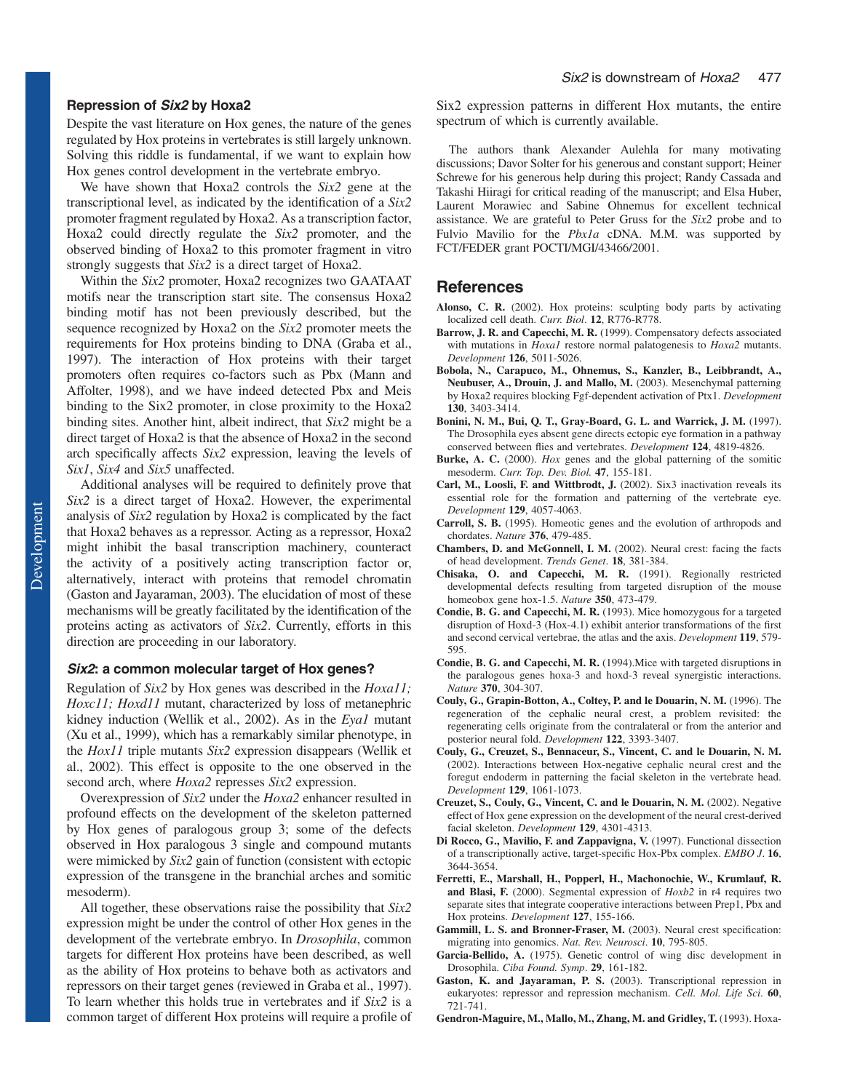## **Repression of Six2 by Hoxa2**

Despite the vast literature on Hox genes, the nature of the genes regulated by Hox proteins in vertebrates is still largely unknown. Solving this riddle is fundamental, if we want to explain how Hox genes control development in the vertebrate embryo.

We have shown that Hoxa2 controls the *Six2* gene at the transcriptional level, as indicated by the identification of a *Six2* promoter fragment regulated by Hoxa2. As a transcription factor, Hoxa2 could directly regulate the *Six2* promoter, and the observed binding of Hoxa2 to this promoter fragment in vitro strongly suggests that *Six2* is a direct target of Hoxa2.

Within the *Six2* promoter, Hoxa2 recognizes two GAATAAT motifs near the transcription start site. The consensus Hoxa2 binding motif has not been previously described, but the sequence recognized by Hoxa2 on the *Six2* promoter meets the requirements for Hox proteins binding to DNA (Graba et al., 1997). The interaction of Hox proteins with their target promoters often requires co-factors such as Pbx (Mann and Affolter, 1998), and we have indeed detected Pbx and Meis binding to the Six2 promoter, in close proximity to the Hoxa2 binding sites. Another hint, albeit indirect, that *Six2* might be a direct target of Hoxa2 is that the absence of Hoxa2 in the second arch specifically affects *Six2* expression, leaving the levels of *Six1*, *Six4* and *Six5* unaffected.

Additional analyses will be required to definitely prove that *Six2* is a direct target of Hoxa2. However, the experimental analysis of *Six2* regulation by Hoxa2 is complicated by the fact that Hoxa2 behaves as a repressor. Acting as a repressor, Hoxa2 might inhibit the basal transcription machinery, counteract the activity of a positively acting transcription factor or, alternatively, interact with proteins that remodel chromatin (Gaston and Jayaraman, 2003). The elucidation of most of these mechanisms will be greatly facilitated by the identification of the proteins acting as activators of *Six2*. Currently, efforts in this direction are proceeding in our laboratory.

#### **Six2: a common molecular target of Hox genes?**

Regulation of *Six2* by Hox genes was described in the *Hoxa11; Hoxc11; Hoxd11* mutant, characterized by loss of metanephric kidney induction (Wellik et al., 2002). As in the *Eya1* mutant (Xu et al., 1999), which has a remarkably similar phenotype, in the *Hox11* triple mutants *Six2* expression disappears (Wellik et al., 2002). This effect is opposite to the one observed in the second arch, where *Hoxa2* represses *Six2* expression.

Overexpression of *Six2* under the *Hoxa2* enhancer resulted in profound effects on the development of the skeleton patterned by Hox genes of paralogous group 3; some of the defects observed in Hox paralogous 3 single and compound mutants were mimicked by *Six2* gain of function (consistent with ectopic expression of the transgene in the branchial arches and somitic mesoderm).

All together, these observations raise the possibility that *Six2* expression might be under the control of other Hox genes in the development of the vertebrate embryo. In *Drosophila*, common targets for different Hox proteins have been described, as well as the ability of Hox proteins to behave both as activators and repressors on their target genes (reviewed in Graba et al., 1997). To learn whether this holds true in vertebrates and if *Six2* is a common target of different Hox proteins will require a profile of Six2 expression patterns in different Hox mutants, the entire spectrum of which is currently available.

The authors thank Alexander Aulehla for many motivating discussions; Davor Solter for his generous and constant support; Heiner Schrewe for his generous help during this project; Randy Cassada and Takashi Hiiragi for critical reading of the manuscript; and Elsa Huber, Laurent Morawiec and Sabine Ohnemus for excellent technical assistance. We are grateful to Peter Gruss for the *Six2* probe and to Fulvio Mavilio for the *Pbx1a* cDNA. M.M. was supported by FCT/FEDER grant POCTI/MGI/43466/2001.

## **References**

- **Alonso, C. R.** (2002). Hox proteins: sculpting body parts by activating localized cell death. *Curr. Biol*. **12**, R776-R778.
- Barrow, J. R. and Capecchi, M. R. (1999). Compensatory defects associated with mutations in *Hoxa1* restore normal palatogenesis to *Hoxa2* mutants. *Development* **126**, 5011-5026.
- **Bobola, N., Carapuco, M., Ohnemus, S., Kanzler, B., Leibbrandt, A., Neubuser, A., Drouin, J. and Mallo, M.** (2003). Mesenchymal patterning by Hoxa2 requires blocking Fgf-dependent activation of Ptx1. *Development* **130**, 3403-3414.
- **Bonini, N. M., Bui, Q. T., Gray-Board, G. L. and Warrick, J. M.** (1997). The Drosophila eyes absent gene directs ectopic eye formation in a pathway conserved between flies and vertebrates. *Development* **124**, 4819-4826.
- Burke, A. C. (2000). *Hox* genes and the global patterning of the somitic mesoderm. *Curr. Top. Dev. Biol.* **47**, 155-181.
- **Carl, M., Loosli, F. and Wittbrodt, J.** (2002). Six3 inactivation reveals its essential role for the formation and patterning of the vertebrate eye. *Development* **129**, 4057-4063.
- **Carroll, S. B.** (1995). Homeotic genes and the evolution of arthropods and chordates. *Nature* **376**, 479-485.
- **Chambers, D. and McGonnell, I. M.** (2002). Neural crest: facing the facts of head development. *Trends Genet*. **18**, 381-384.
- **Chisaka, O. and Capecchi, M. R.** (1991). Regionally restricted developmental defects resulting from targeted disruption of the mouse homeobox gene hox-1.5. *Nature* **350**, 473-479.
- **Condie, B. G. and Capecchi, M. R.** (1993). Mice homozygous for a targeted disruption of Hoxd-3 (Hox-4.1) exhibit anterior transformations of the first and second cervical vertebrae, the atlas and the axis. *Development* **119**, 579- 595.
- **Condie, B. G. and Capecchi, M. R.** (1994).Mice with targeted disruptions in the paralogous genes hoxa-3 and hoxd-3 reveal synergistic interactions. *Nature* **370**, 304-307.
- **Couly, G., Grapin-Botton, A., Coltey, P. and le Douarin, N. M.** (1996). The regeneration of the cephalic neural crest, a problem revisited: the regenerating cells originate from the contralateral or from the anterior and posterior neural fold. *Development* **122**, 3393-3407.
- **Couly, G., Creuzet, S., Bennaceur, S., Vincent, C. and le Douarin, N. M.** (2002). Interactions between Hox-negative cephalic neural crest and the foregut endoderm in patterning the facial skeleton in the vertebrate head. *Development* **129**, 1061-1073.
- **Creuzet, S., Couly, G., Vincent, C. and le Douarin, N. M.** (2002). Negative effect of Hox gene expression on the development of the neural crest-derived facial skeleton. *Development* **129**, 4301-4313.
- **Di Rocco, G., Mavilio, F. and Zappavigna, V.** (1997). Functional dissection of a transcriptionally active, target-specific Hox-Pbx complex. *EMBO J*. **16**, 3644-3654.
- **Ferretti, E., Marshall, H., Popperl, H., Machonochie, W., Krumlauf, R. and Blasi, F.** (2000). Segmental expression of *Hoxb2* in r4 requires two separate sites that integrate cooperative interactions between Prep1, Pbx and Hox proteins. *Development* **127**, 155-166.
- Gammill, L. S. and Bronner-Fraser, M. (2003). Neural crest specification: migrating into genomics. *Nat. Rev. Neurosci*. **10**, 795-805.
- **Garcia-Bellido, A.** (1975). Genetic control of wing disc development in Drosophila. *Ciba Found. Symp*. **29**, 161-182.
- **Gaston, K. and Jayaraman, P. S.** (2003). Transcriptional repression in eukaryotes: repressor and repression mechanism. *Cell. Mol. Life Sci*. **60**, 721-741.
- **Gendron-Maguire, M., Mallo, M., Zhang, M. and Gridley, T.** (1993). Hoxa-